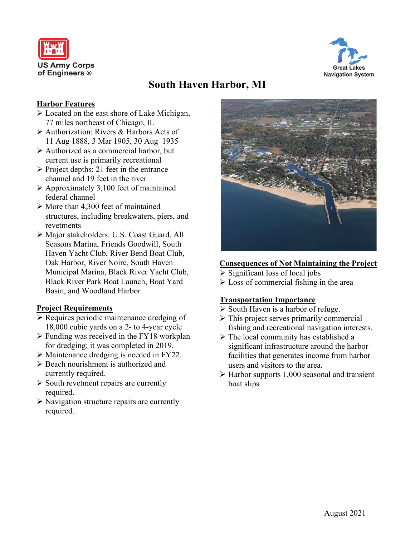



# **South Haven Harbor, MI**

### **Harbor Features**

- Located on the east shore of Lake Michigan, 77 miles northeast of Chicago, IL
- Authorization: Rivers & Harbors Acts of 11 Aug 1888, 3 Mar 1905, 30 Aug 1935
- Authorized as a commercial harbor, but current use is primarily recreational
- $\triangleright$  Project depths: 21 feet in the entrance channel and 19 feet in the river
- $\triangleright$  Approximately 3,100 feet of maintained federal channel
- $\triangleright$  More than 4,300 feet of maintained structures, including breakwaters, piers, and revetments
- Major stakeholders: U.S. Coast Guard, All Seasons Marina, Friends Goodwill, South Haven Yacht Club, River Bend Boat Club, Oak Harbor, River Noire, South Haven Municipal Marina, Black River Yacht Club, Black River Park Boat Launch, Boat Yard Basin, and Woodland Harbor

## **Project Requirements**

- $\triangleright$  Requires periodic maintenance dredging of 18,000 cubic yards on a 2- to 4-year cycle
- $\triangleright$  Funding was received in the FY18 workplan for dredging; it was completed in 2019.
- Maintenance dredging is needed in FY22.
- $\triangleright$  Beach nourishment is authorized and currently required.
- $\triangleright$  South revetment repairs are currently required.
- $\triangleright$  Navigation structure repairs are currently required.



#### **Consequences of Not Maintaining the Project**

- $\triangleright$  Significant loss of local jobs
- $\triangleright$  Loss of commercial fishing in the area

## **Transportation Importance**

- $\triangleright$  South Haven is a harbor of refuge.
- $\triangleright$  This project serves primarily commercial fishing and recreational navigation interests.
- $\triangleright$  The local community has established a significant infrastructure around the harbor facilities that generates income from harbor users and visitors to the area.
- $\triangleright$  Harbor supports 1,000 seasonal and transient boat slips